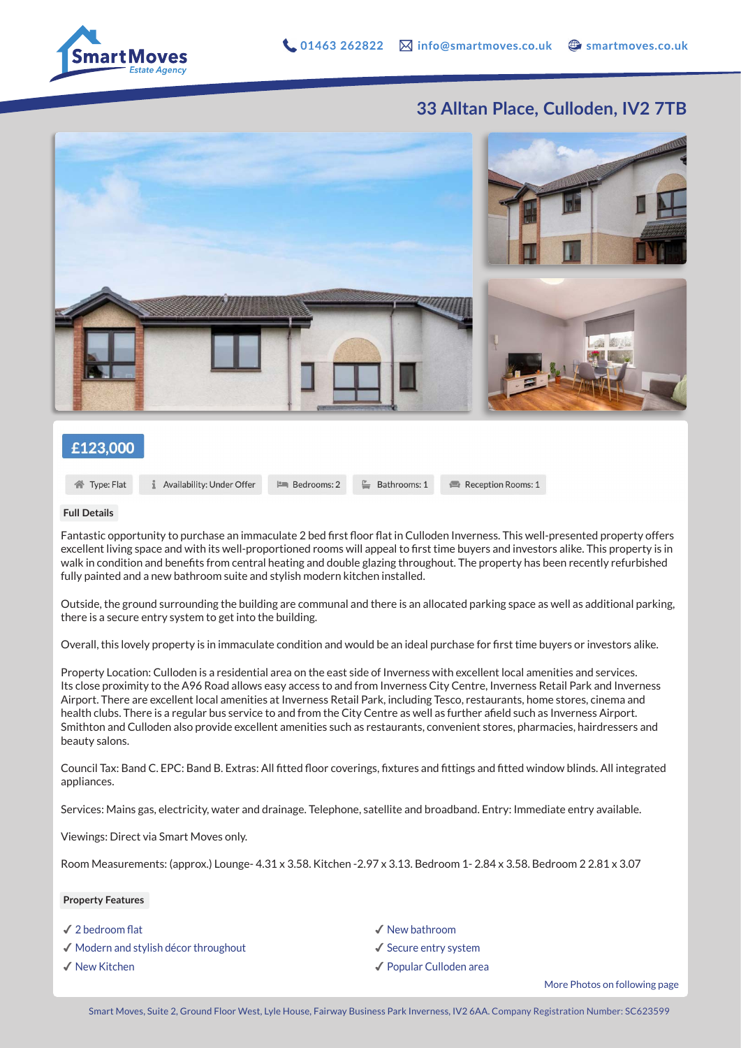Reception Rooms: 1

## **33 Alltan Place, Culloden, IV2 7TB**



### £123,000

合 Type: Flat

Availability: Under Offer

#### **Full Details**

Fantastic opportunity to purchase an immaculate 2 bed first floor flat in Culloden Inverness. This well-presented property offers excellent living space and with its well-proportioned rooms will appeal to first time buyers and investors alike. This property is in walk in condition and benefits from central heating and double glazing throughout. The property has been recently refurbished fully painted and a new bathroom suite and stylish modern kitchen installed.

 $\stackrel{\mathbb{P}}{=}$  Bathrooms: 1

**PM** Bedrooms: 2

Outside, the ground surrounding the building are communal and there is an allocated parking space as well as additional parking, there is a secure entry system to get into the building.

Overall, this lovely property is in immaculate condition and would be an ideal purchase for first time buyers or investors alike.

Property Location: Culloden is a residential area on the east side of Inverness with excellent local amenities and services. Its close proximity to the A96 Road allows easy access to and from Inverness City Centre, Inverness Retail Park and Inverness Airport. There are excellent local amenities at Inverness Retail Park, including Tesco, restaurants, home stores, cinema and health clubs. There is a regular bus service to and from the City Centre as well as further afield such as Inverness Airport. Smithton and Culloden also provide excellent amenities such as restaurants, convenient stores, pharmacies, hairdressers and beauty salons.

Council Tax: Band C. EPC: Band B. Extras: All fitted floor coverings, fixtures and fittings and fitted window blinds. All integrated appliances.

Services: Mains gas, electricity, water and drainage. Telephone, satellite and broadband. Entry: Immediate entry available.

Viewings: Direct via Smart Moves only.

Room Measurements: (approx.) Lounge- 4.31 x 3.58. Kitchen -2.97 x 3.13. Bedroom 1- 2.84 x 3.58. Bedroom 2 2.81 x 3.07

#### **Property Features**

- ✔︎ 2 bedroom flat
- ✔︎ Modern and stylish décor throughout
- ✔︎ New Kitchen

✔︎ New bathroom ✔︎ Secure entry system ✔︎ Popular Culloden area

More Photos on following page